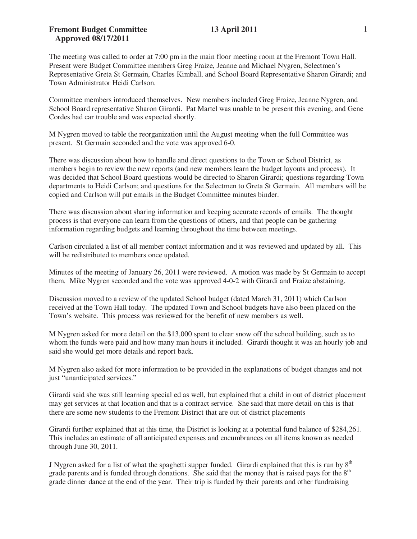## **Fremont Budget Committee 13 April 2011 Approved 08/17/2011**

The meeting was called to order at 7:00 pm in the main floor meeting room at the Fremont Town Hall. Present were Budget Committee members Greg Fraize, Jeanne and Michael Nygren, Selectmen's Representative Greta St Germain, Charles Kimball, and School Board Representative Sharon Girardi; and Town Administrator Heidi Carlson.

Committee members introduced themselves. New members included Greg Fraize, Jeanne Nygren, and School Board representative Sharon Girardi. Pat Martel was unable to be present this evening, and Gene Cordes had car trouble and was expected shortly.

M Nygren moved to table the reorganization until the August meeting when the full Committee was present. St Germain seconded and the vote was approved 6-0.

There was discussion about how to handle and direct questions to the Town or School District, as members begin to review the new reports (and new members learn the budget layouts and process). It was decided that School Board questions would be directed to Sharon Girardi; questions regarding Town departments to Heidi Carlson; and questions for the Selectmen to Greta St Germain. All members will be copied and Carlson will put emails in the Budget Committee minutes binder.

There was discussion about sharing information and keeping accurate records of emails. The thought process is that everyone can learn from the questions of others, and that people can be gathering information regarding budgets and learning throughout the time between meetings.

Carlson circulated a list of all member contact information and it was reviewed and updated by all. This will be redistributed to members once updated.

Minutes of the meeting of January 26, 2011 were reviewed. A motion was made by St Germain to accept them. Mike Nygren seconded and the vote was approved 4-0-2 with Girardi and Fraize abstaining.

Discussion moved to a review of the updated School budget (dated March 31, 2011) which Carlson received at the Town Hall today. The updated Town and School budgets have also been placed on the Town's website. This process was reviewed for the benefit of new members as well.

M Nygren asked for more detail on the \$13,000 spent to clear snow off the school building, such as to whom the funds were paid and how many man hours it included. Girardi thought it was an hourly job and said she would get more details and report back.

M Nygren also asked for more information to be provided in the explanations of budget changes and not just "unanticipated services."

Girardi said she was still learning special ed as well, but explained that a child in out of district placement may get services at that location and that is a contract service. She said that more detail on this is that there are some new students to the Fremont District that are out of district placements

Girardi further explained that at this time, the District is looking at a potential fund balance of \$284,261. This includes an estimate of all anticipated expenses and encumbrances on all items known as needed through June 30, 2011.

J Nygren asked for a list of what the spaghetti supper funded. Girardi explained that this is run by  $8<sup>th</sup>$ grade parents and is funded through donations. She said that the money that is raised pays for the  $8<sup>th</sup>$ grade dinner dance at the end of the year. Their trip is funded by their parents and other fundraising